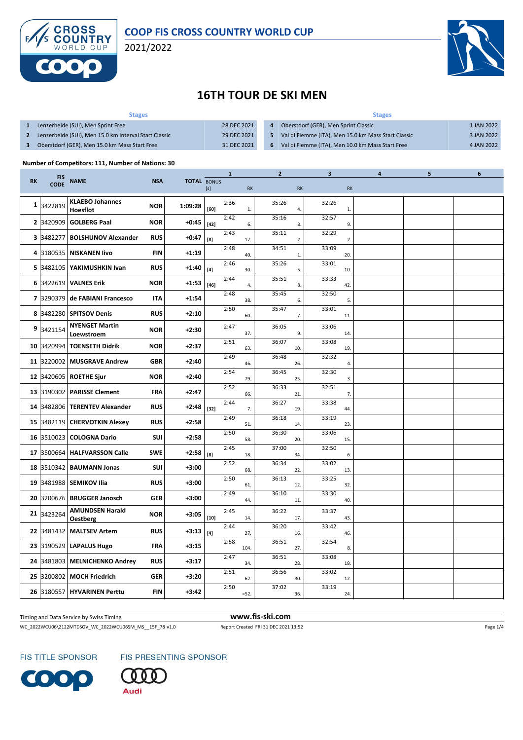



# **16TH TOUR DE SKI MEN**

| <b>Stages</b>                                         |             | <b>Stages</b>  |                                                     |            |  |  |  |  |
|-------------------------------------------------------|-------------|----------------|-----------------------------------------------------|------------|--|--|--|--|
| Lenzerheide (SUI), Men Sprint Free                    | 28 DEC 2021 | $\overline{a}$ | Oberstdorf (GER), Men Sprint Classic                | 1 JAN 2022 |  |  |  |  |
| Lenzerheide (SUI), Men 15.0 km Interval Start Classic | 29 DEC 2021 |                | Val di Fiemme (ITA), Men 15.0 km Mass Start Classic | 3 JAN 2022 |  |  |  |  |
| Oberstdorf (GER), Men 15.0 km Mass Start Free         | 31 DEC 2021 | - 6            | Val di Fiemme (ITA), Men 10.0 km Mass Start Free    | 4 JAN 2022 |  |  |  |  |

#### **Number of Competitors: 111, Number of Nations: 30**

|           |                           | <b>NAME</b>                         | <b>NSA</b> |                    | $\mathbf{1}$                                                                                                                                                                                               |      |                | $\overline{2}$ |           |       |           | 4 | 5 | 6 |
|-----------|---------------------------|-------------------------------------|------------|--------------------|------------------------------------------------------------------------------------------------------------------------------------------------------------------------------------------------------------|------|----------------|----------------|-----------|-------|-----------|---|---|---|
| <b>RK</b> | <b>FIS</b><br><b>CODE</b> |                                     |            | <b>TOTAL BONUS</b> | [s]                                                                                                                                                                                                        |      | RK             |                | <b>RK</b> |       | <b>RK</b> |   |   |   |
|           | 1 3422819                 | <b>KLAEBO Johannes</b><br>Hoesflot  | <b>NOR</b> | 1:09:28            | [60]                                                                                                                                                                                                       | 2:36 | $\mathbf{1}$ . | 35:26          | 4.        | 32:26 | 1.        |   |   |   |
|           | 2 3420909                 | <b>GOLBERG Paal</b>                 | <b>NOR</b> | $+0:45$            | $[42]$                                                                                                                                                                                                     | 2:42 | 6.             | 35:16          | 3.        | 32:57 | 9.        |   |   |   |
|           | 3 3482277                 | <b>BOLSHUNOV Alexander</b>          | <b>RUS</b> | $+0:47$            | [8]                                                                                                                                                                                                        | 2:43 | 17.            | 35:11          | 2.        | 32:29 | 2.        |   |   |   |
|           | 4 3180535                 | <b>NISKANEN livo</b>                | <b>FIN</b> | $+1:19$            |                                                                                                                                                                                                            | 2:48 | 40.            | 34:51          | 1.        | 33:09 | 20.       |   |   |   |
|           | 5 3482105                 | YAKIMUSHKIN Ivan                    | <b>RUS</b> | $+1:40$            | $[4] % \includegraphics[width=0.9\columnwidth]{images/TrDiS-Architecture.png} % \caption{The figure shows the number of parameters of the estimators in the left and right.} \label{TrDiS-Architecture} %$ | 2:46 | 30.            | 35:26          | 5.        | 33:01 | 10.       |   |   |   |
|           | 6 3422619                 | <b>VALNES Erik</b>                  | <b>NOR</b> | +1:53              | $[46]$                                                                                                                                                                                                     | 2:44 | 4.             | 35:51          | 8.        | 33:33 | 42.       |   |   |   |
|           | 7 3290379                 | de FABIANI Francesco                | <b>ITA</b> | +1:54              |                                                                                                                                                                                                            | 2:48 | 38.            | 35:45          | 6.        | 32:50 | 5.        |   |   |   |
|           | 8 3482280                 | <b>SPITSOV Denis</b>                | <b>RUS</b> | $+2:10$            |                                                                                                                                                                                                            | 2:50 | 60.            | 35:47          | 7.        | 33:01 | 11.       |   |   |   |
|           | 9 3421154                 | <b>NYENGET Martin</b><br>Loewstroem | <b>NOR</b> | $+2:30$            |                                                                                                                                                                                                            | 2:47 | 37.            | 36:05          | 9.        | 33:06 | 14.       |   |   |   |
|           | 10 3420994                | <b>TOENSETH Didrik</b>              | <b>NOR</b> | $+2:37$            |                                                                                                                                                                                                            | 2:51 | 63.            | 36:07          | 10.       | 33:08 | 19.       |   |   |   |
|           | 11 3220002                | <b>MUSGRAVE Andrew</b>              | <b>GBR</b> | $+2:40$            |                                                                                                                                                                                                            | 2:49 | 46.            | 36:48          | 26.       | 32:32 | 4.        |   |   |   |
|           | 12 3420605                | <b>ROETHE Sjur</b>                  | <b>NOR</b> | $+2:40$            |                                                                                                                                                                                                            | 2:54 | 79.            | 36:45          | 25.       | 32:30 | 3.        |   |   |   |
|           | 13 3190302                | <b>PARISSE Clement</b>              | FRA        | $+2:47$            |                                                                                                                                                                                                            | 2:52 | 66.            | 36:33          | 21.       | 32:51 | 7.        |   |   |   |
|           | 14 3482806                | <b>TERENTEV Alexander</b>           | <b>RUS</b> | +2:48              | $[32]$                                                                                                                                                                                                     | 2:44 | 7.             | 36:27          | 19.       | 33:38 | 44.       |   |   |   |
|           | 15 3482119                | <b>CHERVOTKIN Alexey</b>            | <b>RUS</b> | $+2:58$            |                                                                                                                                                                                                            | 2:49 | 51.            | 36:18          | 14.       | 33:19 | 23.       |   |   |   |
|           | 16 3510023                | <b>COLOGNA Dario</b>                | SUI        | $+2:58$            |                                                                                                                                                                                                            | 2:50 | 58.            | 36:30          | 20.       | 33:06 | 15.       |   |   |   |
|           | 17 3500664                | <b>HALFVARSSON Calle</b>            | <b>SWE</b> | $+2:58$            | [8]                                                                                                                                                                                                        | 2:45 | 18.            | 37:00          | 34.       | 32:50 | 6.        |   |   |   |
|           | 18 3510342                | <b>BAUMANN Jonas</b>                | SUI        | $+3:00$            |                                                                                                                                                                                                            | 2:52 | 68.            | 36:34          | 22.       | 33:02 | 13.       |   |   |   |
|           | 19 3481988                | <b>SEMIKOV Ilia</b>                 | <b>RUS</b> | $+3:00$            |                                                                                                                                                                                                            | 2:50 | 61.            | 36:13          | 12.       | 33:25 | 32.       |   |   |   |
|           | 20 3200676                | <b>BRUGGER Janosch</b>              | <b>GER</b> | +3:00              |                                                                                                                                                                                                            | 2:49 | 44.            | 36:10          | 11.       | 33:30 | 40.       |   |   |   |
|           | 21 3423264                | <b>AMUNDSEN Harald</b><br>Oestberg  | <b>NOR</b> | $+3:05$            | $[10]$                                                                                                                                                                                                     | 2:45 | 14.            | 36:22          | 17.       | 33:37 | 43.       |   |   |   |
|           | 22 3481432                | <b>MALTSEV Artem</b>                | <b>RUS</b> | $+3:13$            | $[4]$                                                                                                                                                                                                      | 2:44 | 27.            | 36:20          | 16.       | 33:42 | 46.       |   |   |   |
|           | 23 3190529                | <b>LAPALUS Hugo</b>                 | <b>FRA</b> | $+3:15$            |                                                                                                                                                                                                            | 2:58 | 104            | 36:51          | 27.       | 32:54 | 8.        |   |   |   |
|           | 24 3481803                | <b>MELNICHENKO Andrey</b>           | <b>RUS</b> | +3:17              |                                                                                                                                                                                                            | 2:47 | 34.            | 36:51          | 28.       | 33:08 | 18.       |   |   |   |
|           | 25 3200802                | <b>MOCH Friedrich</b>               | <b>GER</b> | $+3:20$            |                                                                                                                                                                                                            | 2:51 | 62.            | 36:56          | 30.       | 33:02 | 12.       |   |   |   |
|           | 26 3180557                | <b>HYVARINEN Perttu</b>             | <b>FIN</b> | $+3:42$            |                                                                                                                                                                                                            | 2:50 | $=52.$         | 37:02          | 36.       | 33:19 | 24.       |   |   |   |
|           |                           |                                     |            |                    |                                                                                                                                                                                                            |      |                |                |           |       |           |   |   |   |

Timing and Data Service by Swiss Timing **www.fis-ski.com**

WC\_2022WCU06\2122MTDSOV\_WC\_2022WCU06SM\_MS\_\_15F\_78 v1.0 Report Created FRI 31 DEC 2021 13:52 Page 1/4





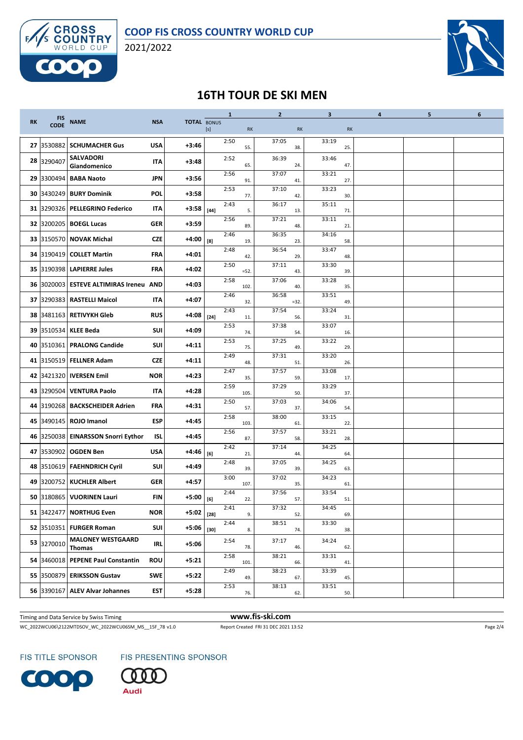



### **16TH TOUR DE SKI MEN**

|           |                           |                                        |            |                    |        | $\mathbf{1}$ |       | $\overline{2}$ |        | 3              |     | 4 | 5 | 6 |
|-----------|---------------------------|----------------------------------------|------------|--------------------|--------|--------------|-------|----------------|--------|----------------|-----|---|---|---|
| <b>RK</b> | <b>FIS</b><br><b>CODE</b> | <b>NAME</b>                            | <b>NSA</b> | <b>TOTAL BONUS</b> | [s]    | <b>RK</b>    |       |                | RK     |                | RK  |   |   |   |
|           | 27 3530882                | <b>SCHUMACHER Gus</b>                  | <b>USA</b> | $+3:46$            |        | 2:50         | 55.   | 37:05          | 38.    | 33:19          | 25. |   |   |   |
|           | 28 3290407                | <b>SALVADORI</b><br>Giandomenico       | IΤΑ        | $+3:48$            |        | 2:52         | 65.   | 36:39          | 24.    | 33:46          | 47. |   |   |   |
|           | 29 3300494                | <b>BABA Naoto</b>                      | <b>JPN</b> | $+3:56$            |        | 2:56         | 91.   | 37:07          | 41.    | 33:21          | 27. |   |   |   |
|           | 30 3430249                | <b>BURY Dominik</b>                    | POL        | +3:58              |        | 2:53         | 77.   | 37:10          | 42.    | 33:23          | 30. |   |   |   |
|           | 31 3290326                | <b>PELLEGRINO Federico</b>             | <b>ITA</b> | +3:58              | $[44]$ | 2:43         | 5.    | 36:17          | 13.    | 35:11          | 71. |   |   |   |
|           | 32 3200205                | <b>BOEGL Lucas</b>                     | <b>GER</b> | $+3:59$            |        | 2:56         | 89.   | 37:21          | 48.    | 33:11          | 21. |   |   |   |
|           | 33 3150570                | <b>NOVAK Michal</b>                    | <b>CZE</b> | +4:00              | [8]    | 2:46         | 19.   | 36:35          | 23.    | 34:16          | 58. |   |   |   |
|           | 34 3190419                | <b>COLLET Martin</b>                   | FRA        | +4:01              |        | 2:48         | 42.   | 36:54          | 29.    | 33:47          | 48. |   |   |   |
|           | 35 3190398                | <b>LAPIERRE Jules</b>                  | <b>FRA</b> | +4:02              |        | 2:50         | $=52$ | 37:11          | 43.    | 33:30          | 39. |   |   |   |
|           |                           | 36 3020003 ESTEVE ALTIMIRAS Ireneu AND |            | $+4:03$            |        | 2:58         | 102   | 37:06          | 40.    | 33:28          | 35. |   |   |   |
|           |                           | 37 3290383 RASTELLI Maicol             | <b>ITA</b> | +4:07              |        | 2:46         | 32.   | 36:58          | $=32.$ | 33:51          | 49. |   |   |   |
|           | 38 3481163                | <b>RETIVYKH Gleb</b>                   | <b>RUS</b> | +4:08              | $[24]$ | 2:43         | 11.   | 37:54          | 56.    | 33:24          | 31. |   |   |   |
|           | 39 3510534                | <b>KLEE Beda</b>                       | <b>SUI</b> | +4:09              |        | 2:53         | 74.   | 37:38          | 54.    | 33:07          | 16. |   |   |   |
|           | 40 3510361                | <b>PRALONG Candide</b>                 | SUI        | $+4:11$            |        | 2:53         | 75.   | 37:25          | 49.    | 33:22          | 29. |   |   |   |
|           |                           | 41 3150519 FELLNER Adam                | <b>CZE</b> | +4:11              |        | 2:49         | 48.   | 37:31          | 51.    | 33:20          | 26. |   |   |   |
|           | 42 3421320                | <b>IVERSEN Emil</b>                    | <b>NOR</b> | +4:23              |        | 2:47         | 35.   | 37:57          | 59.    | 33:08          | 17. |   |   |   |
|           | 43 3290504                | <b>VENTURA Paolo</b>                   | ITA        | +4:28              |        | 2:59         | 105   | 37:29          | 50.    | 33:29          | 37. |   |   |   |
|           |                           | 44 3190268 BACKSCHEIDER Adrien         | <b>FRA</b> | $+4:31$            |        | 2:50         | 57.   | 37:03          | 37.    | 34:06          | 54. |   |   |   |
|           |                           | 45 3490145 ROJO Imanol                 | <b>ESP</b> | +4:45              |        | 2:58         | 103   | 38:00          | 61.    | 33:15          | 22. |   |   |   |
|           | 46 3250038                | <b>EINARSSON Snorri Eythor</b>         | <b>ISL</b> | +4:45              |        | 2:56         | 87.   | 37:57          | 58.    | 33:21          | 28. |   |   |   |
|           | 47 3530902                | <b>OGDEN Ben</b>                       | <b>USA</b> | +4:46              | [6]    | 2:42         | 21.   | 37:14          | 44.    | 34:25          | 64. |   |   |   |
|           |                           | 48 3510619 FAEHNDRICH Cyril            | SUI        | +4:49              |        | 2:48         | 39.   | 37:05          | 39.    | 34:25          | 63. |   |   |   |
|           | 49 3200752                | <b>KUCHLER Albert</b>                  | <b>GER</b> | $+4:57$            |        | 3:00         | 107   | 37:02          | 35.    | 34:23          | 61. |   |   |   |
|           | 50 3180865                | <b>VUORINEN Lauri</b>                  | <b>FIN</b> | +5:00              | [6]    | 2:44         | 22.   | 37:56          | 57.    | 33:54          | 51. |   |   |   |
|           |                           | 51 3422477 NORTHUG Even                | <b>NOR</b> | +5:02              | $[28]$ | 2:41         | 9.    | 37:32          | 52.    | 34:45<br>33:30 | 69. |   |   |   |
|           |                           | 52 3510351 FURGER Roman                | SUI        | $+5:06$            | $[30]$ | 2:44         | 8.    | 38:51          | 74.    |                | 38. |   |   |   |
|           | 53 3270010                | <b>MALONEY WESTGAARD</b><br>Thomas     | <b>IRL</b> | +5:06              |        | 2:54         | 78.   | 37:17          | 46.    | 34:24          | 62. |   |   |   |
|           | 54 3460018                | <b>PEPENE Paul Constantin</b>          | <b>ROU</b> | $+5:21$            |        | 2:58         | 101.  | 38:21          | 66.    | 33:31          | 41. |   |   |   |
|           |                           | 55 3500879 ERIKSSON Gustav             | SWE        | $+5:22$            |        | 2:49         | 49.   | 38:23          | 67.    | 33:39          | 45. |   |   |   |
|           |                           | 56 3390167 ALEV Alvar Johannes         | <b>EST</b> | $+5:28$            |        | 2:53         | 76.   | 38:13          | 62.    | 33:51          | 50. |   |   |   |

Timing and Data Service by Swiss Timing **www.fis-ski.com**

WC\_2022WCU06\2122MTDSOV\_WC\_2022WCU06SM\_MS\_\_15F\_78 v1.0 Report Created FRI 31 DEC 2021 13:52 Page 2/4

FIS TITLE SPONSOR

FIS PRESENTING SPONSOR



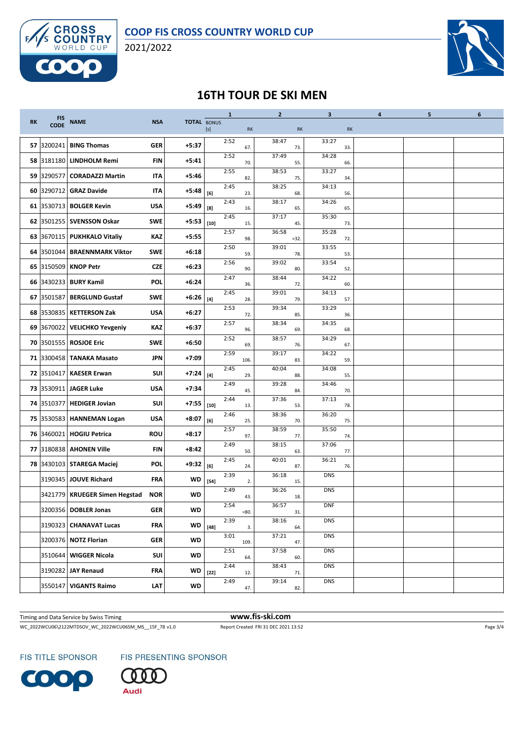



# **16TH TOUR DE SKI MEN**

|           |                           |                              |            |                    |                    | $\mathbf{1}$ |           | $\overline{2}$ |           | 3          |     | 4 | 5 | 6 |
|-----------|---------------------------|------------------------------|------------|--------------------|--------------------|--------------|-----------|----------------|-----------|------------|-----|---|---|---|
| <b>RK</b> | <b>FIS</b><br><b>CODE</b> | <b>NAME</b>                  | <b>NSA</b> | <b>TOTAL BONUS</b> | $[s]$<br><b>RK</b> |              | <b>RK</b> |                | <b>RK</b> |            |     |   |   |   |
|           | 57 3200241                | <b>BING Thomas</b>           | <b>GER</b> | +5:37              |                    | 2:52         | 67.       | 38:47          | 73.       | 33:27      | 33. |   |   |   |
|           |                           | 58 3181180 LINDHOLM Remi     | FIN        | $+5:41$            |                    | 2:52         | 70.       | 37:49          | 55.       | 34:28      | 66. |   |   |   |
|           | 59 3290577                | <b>CORADAZZI Martin</b>      | <b>ITA</b> | +5:46              |                    | 2:55         | 82.       | 38:53          | 75.       | 33:27      | 34. |   |   |   |
|           | 60 3290712                | <b>GRAZ Davide</b>           | <b>ITA</b> | +5:48              | [6]                | 2:45         | 23.       | 38:25          | 68.       | 34:13      | 56. |   |   |   |
|           |                           | 61 3530713 BOLGER Kevin      | <b>USA</b> | +5:49              | [8]                | 2:43         | 16.       | 38:17          | 65.       | 34:26      | 65. |   |   |   |
|           |                           | 62 3501255 SVENSSON Oskar    | <b>SWE</b> | +5:53              | $[10]$             | 2:45         | 15.       | 37:17          | 45.       | 35:30      | 73. |   |   |   |
|           |                           | 63 3670115 PUKHKALO Vitaliy  | KAZ        | +5:55              |                    | 2:57         | 98.       | 36:58          | $= 32.$   | 35:28      | 72. |   |   |   |
|           |                           | 64 3501044 BRAENNMARK Viktor | <b>SWE</b> | $+6:18$            |                    | 2:50         | 59.       | 39:01          | 78.       | 33:55      | 53. |   |   |   |
|           | 65 3150509                | <b>KNOP Petr</b>             | <b>CZE</b> | +6:23              |                    | 2:56         | 90.       | 39:02          | 80.       | 33:54      | 52. |   |   |   |
|           |                           | 66 3430233 BURY Kamil        | POL        | $+6:24$            |                    | 2:47         | 36.       | 38:44          | 72.       | 34:22      | 60. |   |   |   |
|           | 67 3501587                | <b>BERGLUND Gustaf</b>       | <b>SWE</b> | +6:26              | $[4]$              | 2:45         | 28.       | 39:01          | 79.       | 34:13      | 57. |   |   |   |
|           | 68 3530835                | <b>KETTERSON Zak</b>         | <b>USA</b> | $+6:27$            |                    | 2:53         | 72.       | 39:34          | 85.       | 33:29      | 36. |   |   |   |
|           |                           | 69 3670022 VELICHKO Yevgeniy | KAZ        | +6:37              |                    | 2:57         | 96.       | 38:34          | 69.       | 34:35      | 68. |   |   |   |
|           |                           | 70 3501555 ROSJOE Eric       | <b>SWE</b> | $+6:50$            |                    | 2:52         | 69.       | 38:57          | 76.       | 34:29      | 67. |   |   |   |
|           |                           | 71 3300458 TANAKA Masato     | <b>JPN</b> | +7:09              |                    | 2:59         | 106       | 39:17          | 83.       | 34:22      | 59. |   |   |   |
|           | 72 3510417                | <b>KAESER Erwan</b>          | <b>SUI</b> | $+7:24$            | $[4]$              | 2:45         | 29.       | 40:04          | 88.       | 34:08      | 55. |   |   |   |
|           |                           | 73 3530911 JAGER Luke        | <b>USA</b> | +7:34              |                    | 2:49         | 45.       | 39:28          | 84.       | 34:46      | 70. |   |   |   |
|           |                           | 74 3510377 HEDIGER Jovian    | <b>SUI</b> | $+7:55$            | $[10]$             | 2:44         | 13.       | 37:36          | 53.       | 37:13      | 78. |   |   |   |
|           |                           | 75 3530583 HANNEMAN Logan    | <b>USA</b> | +8:07              | [6]                | 2:46         | 25.       | 38:36          | 70.       | 36:20      | 75. |   |   |   |
|           | 76 3460021                | <b>HOGIU Petrica</b>         | ROU        | $+8:17$            |                    | 2:57         | 97.       | 38:59          | 77.       | 35:50      | 74. |   |   |   |
|           | 77 3180838                | <b>AHONEN Ville</b>          | <b>FIN</b> | +8:42              |                    | 2:49         | 50.       | 38:15          | 63.       | 37:06      | 77. |   |   |   |
|           |                           | 78 3430103   STAREGA Maciej  | POL        | +9:32              | [6]                | 2:45         | 24.       | 40:01          | 87.       | 36:21      | 76. |   |   |   |
|           |                           | 3190345 JOUVE Richard        | FRA        | WD                 | $[54]$             | 2:39         | 2.        | 36:18          | 15.       | <b>DNS</b> |     |   |   |   |
|           | 3421779                   | <b>KRUEGER Simen Hegstad</b> | <b>NOR</b> | <b>WD</b>          |                    | 2:49         | 43.       | 36:26          | 18.       | <b>DNS</b> |     |   |   |   |
|           |                           | 3200356 DOBLER Jonas         | <b>GER</b> | <b>WD</b>          |                    | 2:54         | $= 80.$   | 36:57          | 31.       | <b>DNF</b> |     |   |   |   |
|           |                           | 3190323 CHANAVAT Lucas       | FRA        | <b>WD</b>          | $[48]$             | 2:39         | 3.        | 38:16          | 64.       | <b>DNS</b> |     |   |   |   |
|           |                           | 3200376 NOTZ Florian         | <b>GER</b> | <b>WD</b>          |                    | 3:01         | 109.      | 37:21          | 47.       | <b>DNS</b> |     |   |   |   |
|           |                           | 3510644 WIGGER Nicola        | SUI        | <b>WD</b>          |                    | 2:51         | 64.       | 37:58          | 60.       | <b>DNS</b> |     |   |   |   |
|           |                           | 3190282 JAY Renaud           | <b>FRA</b> | WD                 | $[22]$             | 2:44         | 12.       | 38:43          | 71.       | <b>DNS</b> |     |   |   |   |
|           |                           | 3550147   VIGANTS Raimo      | LЛТ        | WD                 |                    | 2:49         | 47.       | 39:14          | 82.       | <b>DNS</b> |     |   |   |   |

Timing and Data Service by Swiss Timing **www.fis-ski.com**

WC\_2022WCU06\2122MTDSOV\_WC\_2022WCU06SM\_MS\_\_15F\_78 v1.0 Report Created FRI 31 DEC 2021 13:52 Page 3/4

FIS TITLE SPONSOR